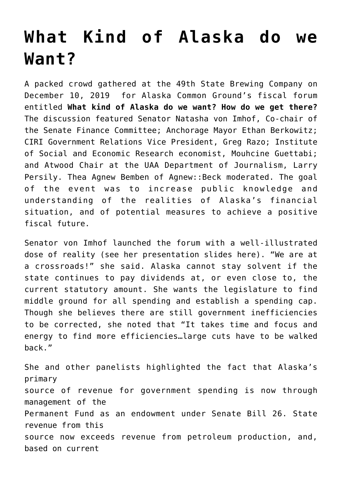## **[What Kind of Alaska do we](https://akcommonground.org/what-kind-of-alaska-do-we-want/) [Want?](https://akcommonground.org/what-kind-of-alaska-do-we-want/)**

A packed crowd gathered at the 49th State Brewing Company on December 10, 2019 for Alaska Common Ground's fiscal forum entitled **What kind of Alaska do we want? How do we get there?** The discussion featured Senator Natasha von Imhof, Co-chair of the Senate Finance Committee; Anchorage Mayor Ethan Berkowitz; CIRI Government Relations Vice President, Greg Razo; Institute of Social and Economic Research economist, Mouhcine Guettabi; and Atwood Chair at the UAA Department of Journalism, Larry Persily. Thea Agnew Bemben of Agnew::Beck moderated. The goal of the event was to increase public knowledge and understanding of the realities of Alaska's financial situation, and of potential measures to achieve a positive fiscal future.

Senator von Imhof launched the forum with a well-illustrated dose of reality [\(see her presentation slides here\)](https://akcommonground.org/wp-content/uploads/2019/12/von-Imhof.pdf). "We are at a crossroads!" she said. Alaska cannot stay solvent if the state continues to pay dividends at, or even close to, the current statutory amount. She wants the legislature to find middle ground for all spending and establish a spending cap. Though she believes there are still government inefficiencies to be corrected, she noted that "It takes time and focus and energy to find more efficiencies…large cuts have to be walked back."

She and other panelists highlighted the fact that Alaska's primary source of revenue for government spending is now through management of the Permanent Fund as an endowment under Senate Bill 26. State revenue from this source now exceeds revenue from petroleum production, and, based on current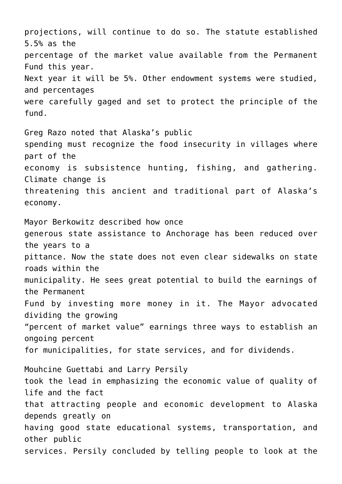projections, will continue to do so. The statute established 5.5% as the percentage of the market value available from the Permanent Fund this year. Next year it will be 5%. Other endowment systems were studied, and percentages were carefully gaged and set to protect the principle of the fund. Greg Razo noted that Alaska's public spending must recognize the food insecurity in villages where part of the economy is subsistence hunting, fishing, and gathering. Climate change is threatening this ancient and traditional part of Alaska's economy. Mayor Berkowitz described how once generous state assistance to Anchorage has been reduced over the years to a pittance. Now the state does not even clear sidewalks on state roads within the municipality. He sees great potential to build the earnings of the Permanent Fund by investing more money in it. The Mayor advocated dividing the growing "percent of market value" earnings three ways to establish an ongoing percent for municipalities, for state services, and for dividends. Mouhcine Guettabi and Larry Persily took the lead in emphasizing the economic value of quality of life and the fact that attracting people and economic development to Alaska depends greatly on having good state educational systems, transportation, and other public services. Persily concluded by telling people to look at the